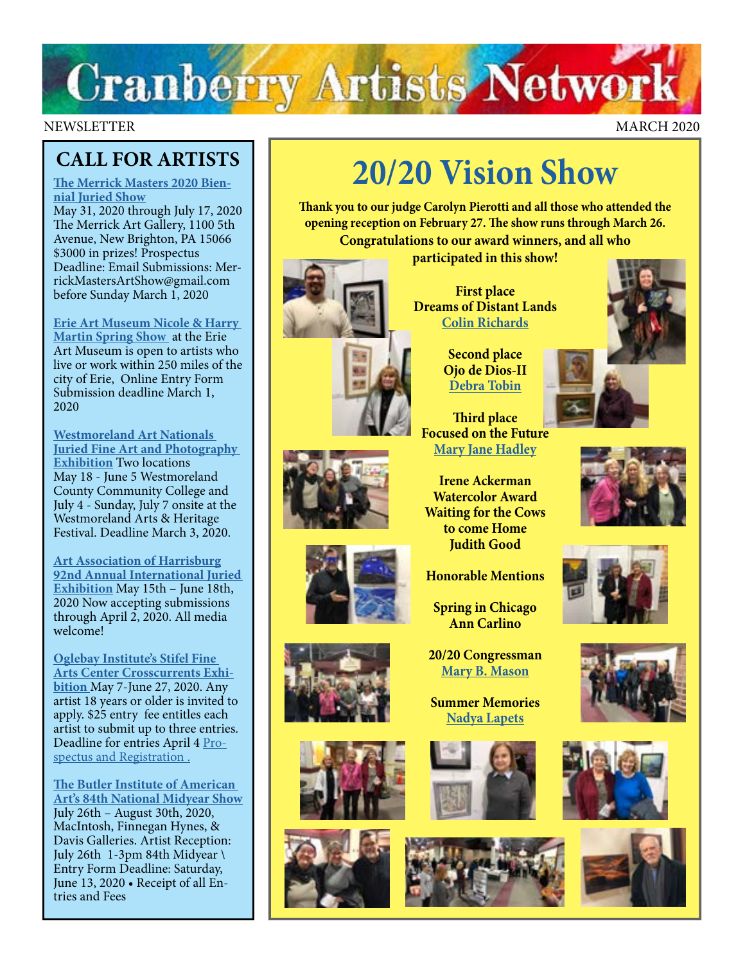# **Cranberry Artists Network**

#### NEWSLETTER MARCH 2020

### **CALL FOR ARTISTS**

**[The Merrick Masters 2020 Bien](http://www.merrickartgallery.org/exhibits)[nial Juried Show](http://www.merrickartgallery.org/exhibits)**

May 31, 2020 through July 17, 2020 The Merrick Art Gallery, 1100 5th Avenue, New Brighton, PA 15066 \$3000 in prizes! Prospectus Deadline: Email Submissions: MerrickMastersArtShow@gmail.com before Sunday March 1, 2020

**[Erie Art Museum Nicole & Harry](https://erieartmuseum.org/prospectus2020/)  [Martin Spring Show](https://erieartmuseum.org/prospectus2020/)** at the Erie Art Museum is open to artists who live or work within 250 miles of the city of Erie, Online Entry Form Submission deadline March 1, 2020

**[Westmoreland Art Nationals](https://artsandheritage.com/the-arts/art-nationals/)  [Juried Fine Art and Photography](https://artsandheritage.com/the-arts/art-nationals/)  [Exhibition](https://artsandheritage.com/the-arts/art-nationals/)** Two locations May 18 - June 5 Westmoreland County Community College and July 4 - Sunday, July 7 onsite at the Westmoreland Arts & Heritage Festival. Deadline March 3, 2020.

**[Art Association of Harrisburg](https://www.artassocofhbg.com/wp-content/uploads/2020/01/92nd-Annual-International-Juried-Exhibition.pdf) [92nd Annual International Juried](https://www.artassocofhbg.com/wp-content/uploads/2020/01/92nd-Annual-International-Juried-Exhibition.pdf)  [Exhibition](https://www.artassocofhbg.com/wp-content/uploads/2020/01/92nd-Annual-International-Juried-Exhibition.pdf)** May 15th – June 18th, 2020 Now accepting submissions through April 2, 2020. All media welcome!

**[Oglebay Institute's Stifel Fine](https://oionline.com/stifel/crosscurrents/
)  [Arts Center Crosscurrents Exhi](https://oionline.com/stifel/crosscurrents/
)[bition](https://oionline.com/stifel/crosscurrents/
)** May 7-June 27, 2020. Any artist 18 years or older is invited to apply. \$25 entry fee entitles each artist to submit up to three entries. Deadline for entries April 4 [Pro](https://oionline.com/stifel/crosscurrents/
)[spectus and Registration .](https://oionline.com/stifel/crosscurrents/
)

**[The Butler Institute of American](https://butlerart.com/art/84th-national-mid-year-show/)  [Art's 84th National Midyear Show](https://butlerart.com/art/84th-national-mid-year-show/)** July 26th – August 30th, 2020, MacIntosh, Finnegan Hynes, & Davis Galleries. Artist Reception: July 26th 1-3pm 84th Midyear \ Entry Form Deadline: Saturday, June 13, 2020 • Receipt of all Entries and Fees

## **[20/20 Vision Show](https://www.cranberryartistsnetwork.com/2020vision)**

**Thank you to our judge Carolyn Pierotti and all those who attended the opening reception on February 27. The show runs through March 26. Congratulations to our award winners, and all who participated in this show!** 



**First place Dreams of Distant Lands [Colin Richards](https://www.colinrichardsart.com/)**

> **Second place Ojo de Dios-II [Debra Tobin](http://www.debratobinart.com)**

**Third place Focused on the Future [Mary Jane Hadley](https://www.facebook.com/maryjane.hadley)**

**Irene Ackerman Watercolor Award Waiting for the Cows to come Home Judith Good**

**Honorable Mentions** 

**Spring in Chicago Ann Carlino**

**20/20 Congressman [Mary B. Mason](https://www.facebook.com/mary.b.mason.9)**

**Summer Memories [Nadya Lapets](https://www.nadyalapets.com/)**















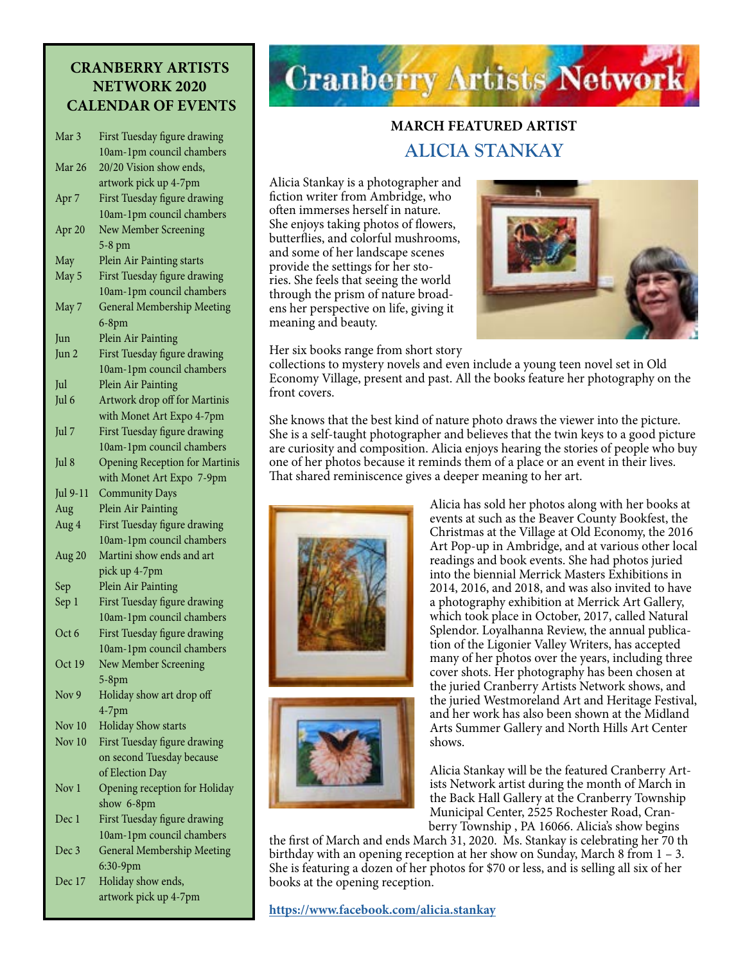#### **CRANBERRY ARTISTS NETWORK 2020 CALENDAR OF EVENTS**

| Mar <sub>3</sub>  | First Tuesday figure drawing          |
|-------------------|---------------------------------------|
|                   | 10am-1pm council chambers             |
| Mar 26            | 20/20 Vision show ends,               |
|                   | artwork pick up 4-7pm                 |
| Apr 7             | First Tuesday figure drawing          |
|                   | 10am-1pm council chambers             |
| Apr <sub>20</sub> | New Member Screening                  |
|                   | 5-8 pm                                |
| May               | Plein Air Painting starts             |
| May 5             | First Tuesday figure drawing          |
|                   | 10am-1pm council chambers             |
| May 7             | <b>General Membership Meeting</b>     |
|                   | $6-8$ pm                              |
| Jun               | Plein Air Painting                    |
| Jun 2             | First Tuesday figure drawing          |
|                   | 10am-1pm council chambers             |
| Jul               | Plein Air Painting                    |
| Jul 6             | Artwork drop off for Martinis         |
|                   | with Monet Art Expo 4-7pm             |
| Jul 7             | First Tuesday figure drawing          |
|                   | 10am-1pm council chambers             |
| Jul 8             | <b>Opening Reception for Martinis</b> |
|                   | with Monet Art Expo 7-9pm             |
| Jul 9-11          | <b>Community Days</b>                 |
| Aug               | Plein Air Painting                    |
| Aug 4             | First Tuesday figure drawing          |
|                   | 10am-1pm council chambers             |
| Aug 20            | Martini show ends and art             |
|                   | pick up 4-7pm                         |
| Sep               | Plein Air Painting                    |
|                   | First Tuesday figure drawing          |
| Sep 1             | 10am-1pm council chambers             |
| Oct 6             |                                       |
|                   | First Tuesday figure drawing          |
|                   | 10am-1pm council chambers             |
| Oct 19            | New Member Screening                  |
|                   | $5-8$ pm                              |
| Nov 9             | Holiday show art drop off             |
|                   | $4-7$ pm                              |
| Nov 10            | <b>Holiday Show starts</b>            |
| Nov 10            | First Tuesday figure drawing          |
|                   | on second Tuesday because             |
|                   | of Election Day                       |
| Nov 1             | Opening reception for Holiday         |
|                   | show 6-8pm                            |
| Dec 1             | First Tuesday figure drawing          |
|                   | 10am-1pm council chambers             |
| Dec 3             | <b>General Membership Meeting</b>     |
|                   | 6:30-9pm                              |
| Dec 17            | Holiday show ends,                    |

Dec 17 Holiday show ends, artwork pick up 4-7pm

## **Cranberry Artists Network**

### **MARCH FEATURED ARTIST ALICIA STANKAY**

Alicia Stankay is a photographer and fiction writer from Ambridge, who often immerses herself in nature. She enjoys taking photos of flowers, butterflies, and colorful mushrooms, and some of her landscape scenes provide the settings for her stories. She feels that seeing the world through the prism of nature broadens her perspective on life, giving it meaning and beauty.



Her six books range from short story

collections to mystery novels and even include a young teen novel set in Old Economy Village, present and past. All the books feature her photography on the front covers.

She knows that the best kind of nature photo draws the viewer into the picture. She is a self-taught photographer and believes that the twin keys to a good picture are curiosity and composition. Alicia enjoys hearing the stories of people who buy one of her photos because it reminds them of a place or an event in their lives. That shared reminiscence gives a deeper meaning to her art.





Alicia has sold her photos along with her books at events at such as the Beaver County Bookfest, the Christmas at the Village at Old Economy, the 2016 Art Pop-up in Ambridge, and at various other local readings and book events. She had photos juried into the biennial Merrick Masters Exhibitions in 2014, 2016, and 2018, and was also invited to have a photography exhibition at Merrick Art Gallery, which took place in October, 2017, called Natural Splendor. Loyalhanna Review, the annual publication of the Ligonier Valley Writers, has accepted many of her photos over the years, including three cover shots. Her photography has been chosen at the juried Cranberry Artists Network shows, and the juried Westmoreland Art and Heritage Festival, and her work has also been shown at the Midland Arts Summer Gallery and North Hills Art Center shows.

Alicia Stankay will be the featured Cranberry Artists Network artist during the month of March in the Back Hall Gallery at the Cranberry Township Municipal Center, 2525 Rochester Road, Cranberry Township , PA 16066. Alicia's show begins

the first of March and ends March 31, 2020. Ms. Stankay is celebrating her 70 th birthday with an opening reception at her show on Sunday, March 8 from  $1 - 3$ . She is featuring a dozen of her photos for \$70 or less, and is selling all six of her books at the opening reception.

**<https://www.facebook.com/alicia.stankay>**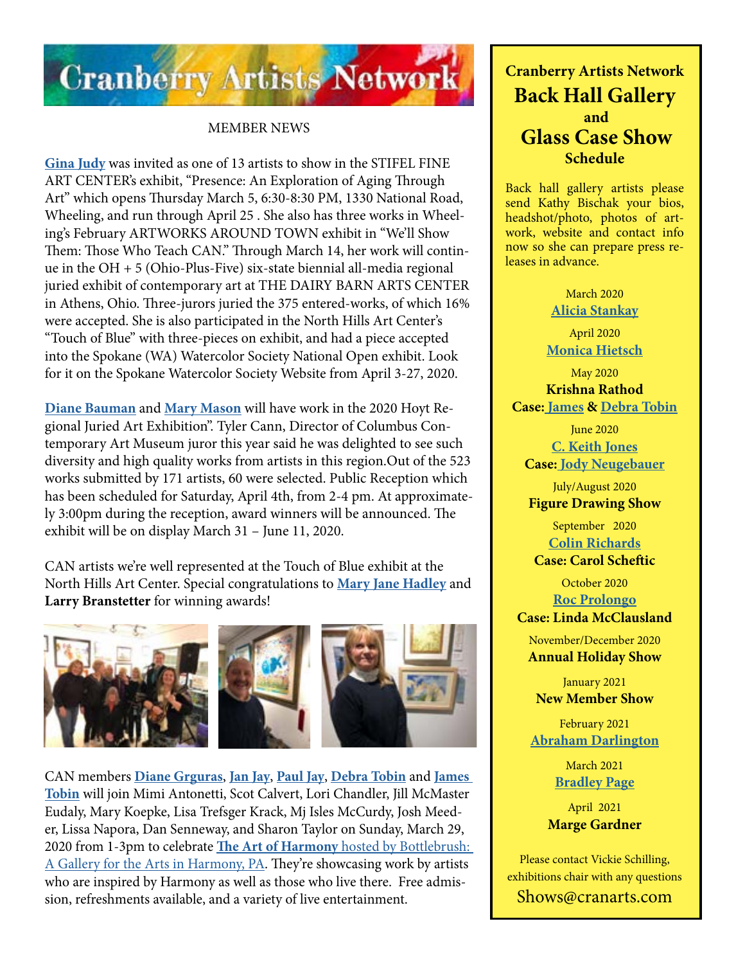

#### MEMBER NEWS

**[Gina Judy](https://www.ginajudyfineart.com/)** was invited as one of 13 artists to show in the STIFEL FINE ART CENTER's exhibit, "Presence: An Exploration of Aging Through Art" which opens Thursday March 5, 6:30-8:30 PM, 1330 National Road, Wheeling, and run through April 25 . She also has three works in Wheeling's February ARTWORKS AROUND TOWN exhibit in "We'll Show Them: Those Who Teach CAN." Through March 14, her work will continue in the OH + 5 (Ohio-Plus-Five) six-state biennial all-media regional juried exhibit of contemporary art at THE DAIRY BARN ARTS CENTER in Athens, Ohio. Three-jurors juried the 375 entered-works, of which 16% were accepted. She is also participated in the North Hills Art Center's "Touch of Blue" with three-pieces on exhibit, and had a piece accepted into the Spokane (WA) Watercolor Society National Open exhibit. Look for it on the Spokane Watercolor Society Website from April 3-27, 2020.

**[Diane Bauman](http://www.diannebauman.com)** and **[Mary Mason](https://www.facebook.com/mary.b.mason.9)** will have work in the 2020 Hoyt Regional Juried Art Exhibition". Tyler Cann, Director of Columbus Contemporary Art Museum juror this year said he was delighted to see such diversity and high quality works from artists in this region.Out of the 523 works submitted by 171 artists, 60 were selected. Public Reception which has been scheduled for Saturday, April 4th, from 2-4 pm. At approximately 3:00pm during the reception, award winners will be announced. The exhibit will be on display March 31 – June 11, 2020.

CAN artists we're well represented at the Touch of Blue exhibit at the North Hills Art Center. Special congratulations to **[Mary Jane Hadley](https://www.facebook.com/maryjane.hadley)** and **Larry Branstetter** for winning awards!



CAN members **[Diane Grguras](https://www.dianegrguras.com/)**, **[Jan Jay](http://web.acd.ccac.edu/~pjay/)**, **[Paul Jay](http://web.acd.ccac.edu/~pjay/)**, **[Debra Tobin](http://www.debratobinart.com)** and **[James](http://www.jamestobinart.com)  [Tobin](http://www.jamestobinart.com)** will join Mimi Antonetti, Scot Calvert, Lori Chandler, Jill McMaster Eudaly, Mary Koepke, Lisa Trefsger Krack, Mj Isles McCurdy, Josh Meeder, Lissa Napora, Dan Senneway, and Sharon Taylor on Sunday, March 29, 2020 from 1-3pm to celebrate **The Art of Harmony** [hosted by Bottlebrush:](http://bottlebrusharts.com/)  [A Gallery for the Arts in Harmony, PA.](http://bottlebrusharts.com/) They're showcasing work by artists who are inspired by Harmony as well as those who live there. Free admission, refreshments available, and a variety of live entertainment.

### **Cranberry Artists Network Back Hall Gallery and Glass Case Show Schedule**

Back hall gallery artists please send Kathy Bischak your bios, headshot/photo, photos of artwork, website and contact info now so she can prepare press releases in advance.

> March 2020 **[Alicia Stankay](https://www.facebook.com/alicia.stankay)**

April 2020 **[Monica Hietsch](https://www.monicahietsch.com/)**

May 2020 **Krishna Rathod Case: [James](http://www.jamestobinart.com) & [Debra Tobin](http://www.debratobinart.com)**

June 2020 **[C. Keith Jones](http://ckeithjonesartist.com/) Case: [Jody Neugebauer](https://dream-queststudio.blogspot.com/)**

July/August 2020 **Figure Drawing Show**

September 2020 **[Colin Richards](https://www.colinrichardsart.com/) Case: Carol Scheftic**

> October 2020 **[Roc Prolongo](https://www.rocprologo.com/)**

**Case: Linda McClausland**

November/December 2020 **Annual Holiday Show**

January 2021 **New Member Show**

February 2021 **[Abraham Darlington](https://www.facebook.com/abraham.darlington)**

> March 2021 **[Bradley Page](https://fireandfumes.com/)**

April 2021 **Marge Gardner**

Please contact Vickie Schilling, exhibitions chair with any questions Shows@cranarts.com